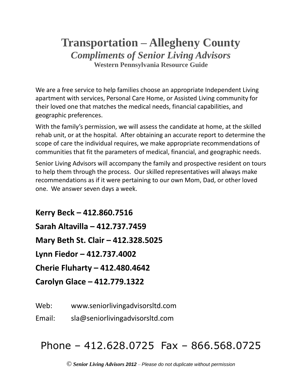# **Transportation – Allegheny County** *Compliments of Senior Living Advisors* **Western Pennsylvania Resource Guide**

We are a free service to help families choose an appropriate Independent Living apartment with services, Personal Care Home, or Assisted Living community for their loved one that matches the medical needs, financial capabilities, and geographic preferences.

With the family's permission, we will assess the candidate at home, at the skilled rehab unit, or at the hospital. After obtaining an accurate report to determine the scope of care the individual requires, we make appropriate recommendations of communities that fit the parameters of medical, financial, and geographic needs.

Senior Living Advisors will accompany the family and prospective resident on tours to help them through the process. Our skilled representatives will always make recommendations as if it were pertaining to our own Mom, Dad, or other loved one. We answer seven days a week.

**Kerry Beck – 412.860.7516 Sarah Altavilla – 412.737.7459 Mary Beth St. Clair – 412.328.5025 Lynn Fiedor – 412.737.4002 Cherie Fluharty – 412.480.4642 Carolyn Glace – 412.779.1322**

Web: www.seniorlivingadvisorsltd.com

Email: sla@seniorlivingadvisorsltd.com

# Phone – 412.628.0725 Fax – 866.568.0725

© *Senior Living Advisors 2012* – *Please do not duplicate without permission*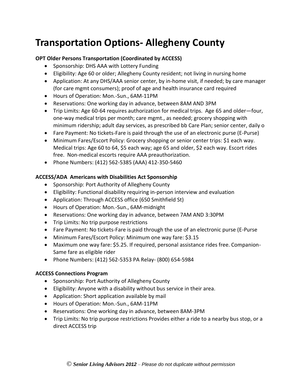# **Transportation Options- Allegheny County**

# **OPT Older Persons Transportation (Coordinated by ACCESS)**

- Sponsorship: DHS AAA with Lottery Funding
- Eligibility: Age 60 or older; Allegheny County resident; not living in nursing home
- Application: At any DHS/AAA senior center, by in-home visit, if needed; by care manager (for care mgmt consumers); proof of age and health insurance card required
- Hours of Operation: Mon.-Sun., 6AM-11PM
- Reservations: One working day in advance, between 8AM AND 3PM
- Trip Limits: Age 60-64 requires authorization for medical trips. Age 65 and older—four, one-way medical trips per month; care mgmt., as needed; grocery shopping with minimum ridership; adult day services, as prescribed bb Care Plan; senior center, daily o
- Fare Payment: No tickets-Fare is paid through the use of an electronic purse (E-Purse)
- Minimum Fares/Escort Policy: Grocery shopping or senior center trips: \$1 each way. Medical trips: Age 60 to 64, \$5 each way; age 65 and older, \$2 each way. Escort rides free. Non-medical escorts require AAA preauthorization.
- Phone Numbers: (412) 562-5385 (AAA) 412-350-5460

# **ACCESS/ADA Americans with Disabilities Act Sponsorship**

- Sponsorship: Port Authority of Allegheny County
- Eligibility: Functional disability requiring in-person interview and evaluation
- Application: Through ACCESS office (650 Smithfield St)
- Hours of Operation: Mon.-Sun., 6AM-midnight
- Reservations: One working day in advance, between 7AM AND 3:30PM
- Trip Limits: No trip purpose restrictions
- Fare Payment: No tickets-Fare is paid through the use of an electronic purse (E-Purse
- Minimum Fares/Escort Policy: Minimum one way fare: \$3.15
- Maximum one way fare: \$5.25. If required, personal assistance rides free. Companion-Same fare as eligible rider
- Phone Numbers: (412) 562-5353 PA Relay- (800) 654-5984

# **ACCESS Connections Program**

- Sponsorship: Port Authority of Allegheny County
- Eligibility: Anyone with a disability without bus service in their area.
- Application: Short application available by mail
- Hours of Operation: Mon.-Sun., 6AM-11PM
- Reservations: One working day in advance, between 8AM-3PM
- Trip Limits: No trip purpose restrictions Provides either a ride to a nearby bus stop, or a direct ACCESS trip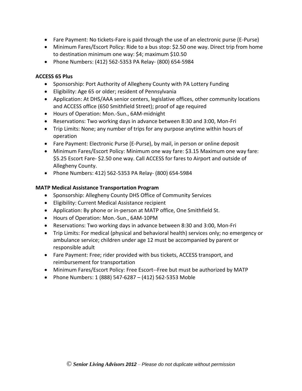- Fare Payment: No tickets-Fare is paid through the use of an electronic purse (E-Purse)
- Minimum Fares/Escort Policy: Ride to a bus stop: \$2.50 one way. Direct trip from home to destination minimum one way: \$4; maximum \$10.50
- Phone Numbers: (412) 562-5353 PA Relay- (800) 654-5984

# **ACCESS 65 Plus**

- Sponsorship: Port Authority of Allegheny County with PA Lottery Funding
- Eligibility: Age 65 or older; resident of Pennsylvania
- Application: At DHS/AAA senior centers, legislative offices, other community locations and ACCESS office (650 Smithfield Street); proof of age required
- Hours of Operation: Mon.-Sun., 6AM-midnight
- Reservations: Two working days in advance between 8:30 and 3:00, Mon-Fri
- Trip Limits: None; any number of trips for any purpose anytime within hours of operation
- Fare Payment: Electronic Purse (E-Purse), by mail, in person or online deposit
- Minimum Fares/Escort Policy: Minimum one way fare: \$3.15 Maximum one way fare: \$5.25 Escort Fare- \$2.50 one way. Call ACCESS for fares to Airport and outside of Allegheny County.
- Phone Numbers: 412) 562-5353 PA Relay- (800) 654-5984

# **MATP Medical Assistance Transportation Program**

- Sponsorship: Allegheny County DHS Office of Community Services
- Eligibility: Current Medical Assistance recipient
- Application: By phone or in-person at MATP office, One Smithfield St.
- Hours of Operation: Mon.-Sun., 6AM-10PM
- Reservations: Two working days in advance between 8:30 and 3:00, Mon-Fri
- Trip Limits: For medical (physical and behavioral health) services only; no emergency or ambulance service; children under age 12 must be accompanied by parent or responsible adult
- Fare Payment: Free; rider provided with bus tickets, ACCESS transport, and reimbursement for transportation
- Minimum Fares/Escort Policy: Free Escort--Free but must be authorized by MATP
- Phone Numbers: 1 (888) 547-6287 (412) 562-5353 Moble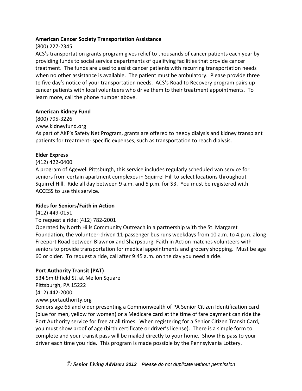### **American Cancer Society Transportation Assistance**

# (800) 227-2345

ACS's transportation grants program gives relief to thousands of cancer patients each year by providing funds to social service departments of qualifying facilities that provide cancer treatment. The funds are used to assist cancer patients with recurring transportation needs when no other assistance is available. The patient must be ambulatory. Please provide three to five day's notice of your transportation needs. ACS's Road to Recovery program pairs up cancer patients with local volunteers who drive them to their treatment appointments. To learn more, call the phone number above.

### **American Kidney Fund**

(800) 795-3226

www.kidneyfund.org

As part of AKF's Safety Net Program, grants are offered to needy dialysis and kidney transplant patients for treatment- specific expenses, such as transportation to reach dialysis.

# **Elder Express**

# (412) 422-0400

A program of Agewell Pittsburgh, this service includes regularly scheduled van service for seniors from certain apartment complexes in Squirrel Hill to select locations throughout Squirrel Hill. Ride all day between 9 a.m. and 5 p.m. for \$3. You must be registered with ACCESS to use this service.

# **Rides for Seniors/Faith in Action**

(412) 449-0151

# To request a ride: (412) 782-2001

Operated by North Hills Community Outreach in a partnership with the St. Margaret Foundation, the volunteer-driven 11-passenger bus runs weekdays from 10 a.m. to 4.p.m. along Freeport Road between Blawnox and Sharpsburg. Faith in Action matches volunteers with seniors to provide transportation for medical appointments and grocery shopping. Must be age 60 or older. To request a ride, call after 9:45 a.m. on the day you need a ride.

# **Port Authority Transit (PAT)**

534 Smithfield St. at Mellon Square Pittsburgh, PA 15222 (412) 442-2000 www.portauthority.org

Seniors age 65 and older presenting a Commonwealth of PA Senior Citizen Identification card (blue for men, yellow for women) or a Medicare card at the time of fare payment can ride the Port Authority service for free at all times. When registering for a Senior Citizen Transit Card, you must show proof of age (birth certificate or driver's license). There is a simple form to complete and your transit pass will be mailed directly to your home. Show this pass to your driver each time you ride. This program is made possible by the Pennsylvania Lottery.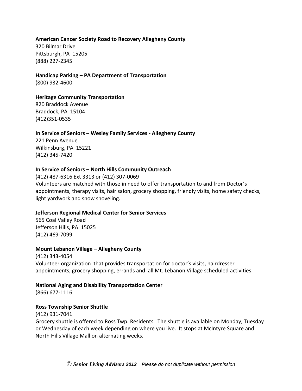#### **American Cancer Society Road to Recovery Allegheny County**

320 Bilmar Drive Pittsburgh, PA 15205 (888) 227-2345

# **Handicap Parking – PA Department of Transportation**

(800) 932-4600

#### **Heritage Community Transportation**

820 Braddock Avenue Braddock, PA 15104 (412)351-0535

#### **In Service of Seniors – Wesley Family Services - Allegheny County**

221 Penn Avenue Wilkinsburg, PA 15221 (412) 345-7420

#### **In Service of Seniors – North Hills Community Outreach**

(412) 487-6316 Ext 3313 or (412) 307-0069 Volunteers are matched with those in need to offer transportation to and from Doctor's appointments, therapy visits, hair salon, grocery shopping, friendly visits, home safety checks, light yardwork and snow shoveling.

#### **Jefferson Regional Medical Center for Senior Services**

565 Coal Valley Road Jefferson Hills, PA 15025 (412) 469-7099

#### **Mount Lebanon Village – Allegheny County**

(412) 343-4054 Volunteer organization that provides transportation for doctor's visits, hairdresser appointments, grocery shopping, errands and all Mt. Lebanon Village scheduled activities.

# **National Aging and Disability Transportation Center**

(866) 677-1116

#### **Ross Township Senior Shuttle**

(412) 931-7041 Grocery shuttle is offered to Ross Twp. Residents. The shuttle is available on Monday, Tuesday or Wednesday of each week depending on where you live. It stops at McIntyre Square and North Hills Village Mall on alternating weeks.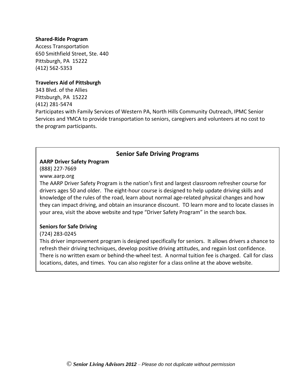#### **Shared-Ride Program**

Access Transportation 650 Smithfield Street, Ste. 440 Pittsburgh, PA 15222 (412) 562-5353

#### **Travelers Aid of Pittsburgh**

343 Blvd. of the Allies Pittsburgh, PA 15222 (412) 281-5474 Participates with Family Services of Western PA, North Hills Community Outreach, IPMC Senior Services and YMCA to provide transportation to seniors, caregivers and volunteers at no cost to the program participants.

### **Senior Safe Driving Programs**

#### **AARP Driver Safety Program**

(888) 227-7669

www.aarp.org

The AARP Driver Safety Program is the nation's first and largest classroom refresher course for drivers ages 50 and older. The eight-hour course is designed to help update driving skills and knowledge of the rules of the road, learn about normal age-related physical changes and how they can impact driving, and obtain an insurance discount. TO learn more and to locate classes in your area, visit the above website and type "Driver Safety Program" in the search box.

#### **Seniors for Safe Driving**

(724) 283-0245

This driver improvement program is designed specifically for seniors. It allows drivers a chance to refresh their driving techniques, develop positive driving attitudes, and regain lost confidence. There is no written exam or behind-the-wheel test. A normal tuition fee is charged. Call for class locations, dates, and times. You can also register for a class online at the above website.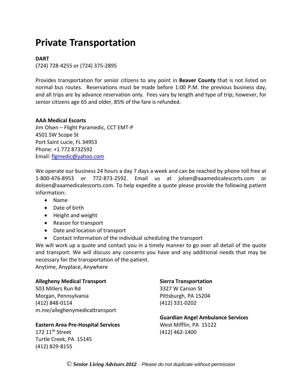# **Private Transportation**

#### **DART**

(724) 728-4255 or (724) 375-2895

Provides transportation for senior citizens to any point in **Beaver County** that is not listed on normal bus routes. Reservations must be made before 1:00 P.M. the previous business day, and all trips are by advance reservation only. Fees vary by length and type of trip; however, for senior citizens age 65 and older, 85% of the fare is refunded.

#### **AAA Medical Escorts**

Jim Olsen – Flight Paramedic, CCT EMT-P 4501 SW Scope St Port Saint Lucie, FL 34953 Phone: +1 772 8732592 Email: [flgmedic@yahoo.com](mailto:flgmedic@yahoo.com)

We operate our business 24 hours a day 7 days a week and can be reached by phone toll free at 1-800-476-8953 or 772-873-2592. Email us at jolsen@aaamedicalescorts.com or dolsen@aaamedicalescorts.com. To help expedite a quote please provide the following patient information:

- Name
- Date of birth
- Height and weight
- Reason for transport
- Date and location of transport
- Contact Information of the individual scheduling the transport

We will work up a quote and contact you in a timely manner to go over all detail of the quote and transport. We will discuss any concerns you have and any additional needs that may be necessary for the transportation of the patient.

Anytime, Anyplace, Anywhere

#### **Allegheny Medical Transport**

503 Millers Run Rd Morgan, Pennsylvania (412) 848-0114 m.me/alleghenymedicaltransport

#### **Eastern Area Pre-Hospital Services**

172  $11<sup>th</sup>$  Street Turtle Creek, PA 15145 (412) 829-8155

#### **Sierra Transportation**

3327 W Carson St Pittsburgh, PA 15204 (412) 331-0202

#### **Guardian Angel Ambulance Services** West Mifflin, PA 15122 (412) 462-1400